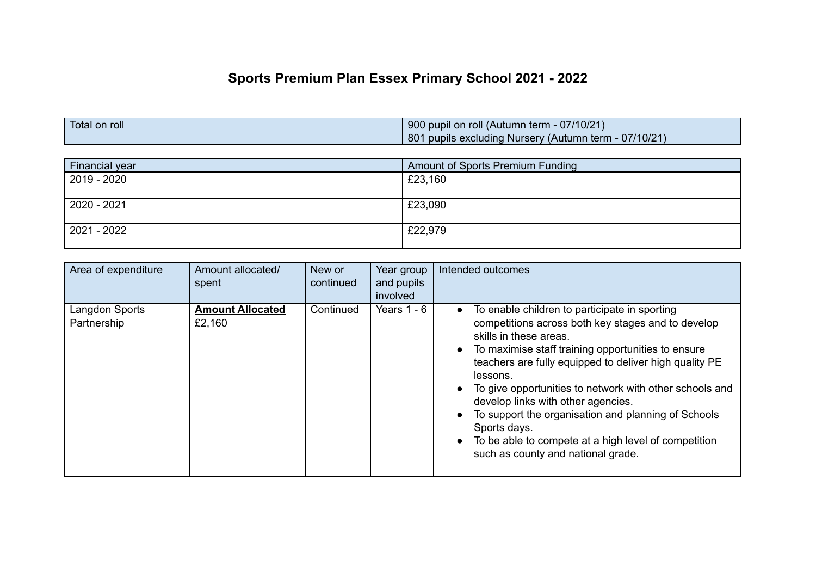## **Sports Premium Plan Essex Primary School 2021 - 2022**

| Total on roll | 900 pupil on roll (Autumn term - 07/10/21)            |
|---------------|-------------------------------------------------------|
|               | 801 pupils excluding Nursery (Autumn term - 07/10/21) |

| Financial year | <b>Amount of Sports Premium Funding</b> |
|----------------|-----------------------------------------|
| 2019 - 2020    | £23,160                                 |
|                |                                         |
| 2020 - 2021    | £23,090                                 |
|                |                                         |
| 2021 - 2022    | £22,979                                 |
|                |                                         |

| Area of expenditure           | Amount allocated/<br>spent        | New or<br>continued | Year group<br>and pupils<br>involved | Intended outcomes                                                                                                                                                                                                                                                                                                                                                                                                                                                                                                                                                                   |
|-------------------------------|-----------------------------------|---------------------|--------------------------------------|-------------------------------------------------------------------------------------------------------------------------------------------------------------------------------------------------------------------------------------------------------------------------------------------------------------------------------------------------------------------------------------------------------------------------------------------------------------------------------------------------------------------------------------------------------------------------------------|
| Langdon Sports<br>Partnership | <b>Amount Allocated</b><br>£2,160 | Continued           | Years $1 - 6$                        | To enable children to participate in sporting<br>$\bullet$<br>competitions across both key stages and to develop<br>skills in these areas.<br>To maximise staff training opportunities to ensure<br>$\bullet$<br>teachers are fully equipped to deliver high quality PE<br>lessons.<br>To give opportunities to network with other schools and<br>develop links with other agencies.<br>To support the organisation and planning of Schools<br>$\bullet$<br>Sports days.<br>To be able to compete at a high level of competition<br>$\bullet$<br>such as county and national grade. |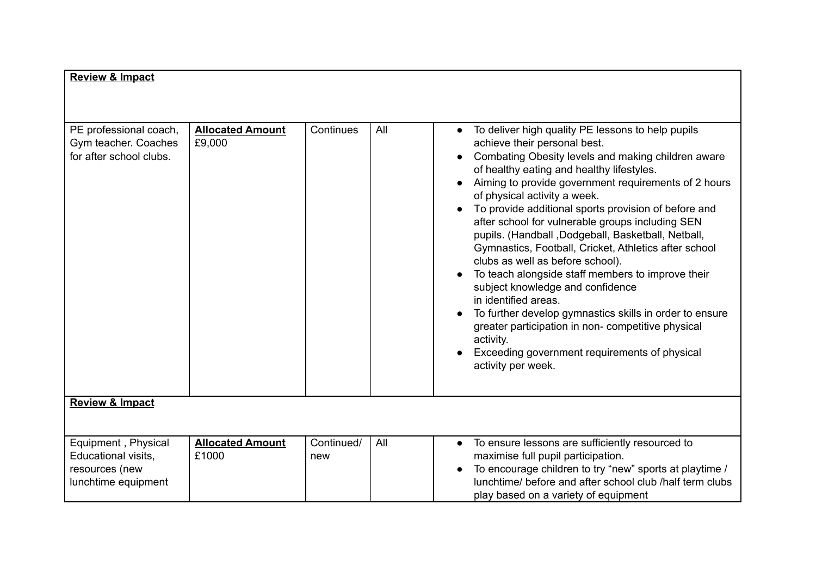| <b>Review &amp; Impact</b>                                                          |                                   |                   |     |                                                                                                                                                                                                                                                                                                                                                                                                                                                                                                                                                                                                                                                                                                                                                                                                                                                                   |
|-------------------------------------------------------------------------------------|-----------------------------------|-------------------|-----|-------------------------------------------------------------------------------------------------------------------------------------------------------------------------------------------------------------------------------------------------------------------------------------------------------------------------------------------------------------------------------------------------------------------------------------------------------------------------------------------------------------------------------------------------------------------------------------------------------------------------------------------------------------------------------------------------------------------------------------------------------------------------------------------------------------------------------------------------------------------|
|                                                                                     |                                   |                   |     |                                                                                                                                                                                                                                                                                                                                                                                                                                                                                                                                                                                                                                                                                                                                                                                                                                                                   |
|                                                                                     |                                   |                   |     |                                                                                                                                                                                                                                                                                                                                                                                                                                                                                                                                                                                                                                                                                                                                                                                                                                                                   |
| PE professional coach,<br>Gym teacher. Coaches<br>for after school clubs.           | <b>Allocated Amount</b><br>£9,000 | Continues         | All | To deliver high quality PE lessons to help pupils<br>achieve their personal best.<br>Combating Obesity levels and making children aware<br>of healthy eating and healthy lifestyles.<br>Aiming to provide government requirements of 2 hours<br>of physical activity a week.<br>To provide additional sports provision of before and<br>after school for vulnerable groups including SEN<br>pupils. (Handball, Dodgeball, Basketball, Netball,<br>Gymnastics, Football, Cricket, Athletics after school<br>clubs as well as before school).<br>To teach alongside staff members to improve their<br>subject knowledge and confidence<br>in identified areas.<br>To further develop gymnastics skills in order to ensure<br>greater participation in non- competitive physical<br>activity.<br>Exceeding government requirements of physical<br>activity per week. |
| <b>Review &amp; Impact</b>                                                          |                                   |                   |     |                                                                                                                                                                                                                                                                                                                                                                                                                                                                                                                                                                                                                                                                                                                                                                                                                                                                   |
|                                                                                     |                                   |                   |     |                                                                                                                                                                                                                                                                                                                                                                                                                                                                                                                                                                                                                                                                                                                                                                                                                                                                   |
| Equipment, Physical<br>Educational visits,<br>resources (new<br>lunchtime equipment | <b>Allocated Amount</b><br>£1000  | Continued/<br>new | All | To ensure lessons are sufficiently resourced to<br>$\bullet$<br>maximise full pupil participation.<br>To encourage children to try "new" sports at playtime /<br>lunchtime/ before and after school club /half term clubs                                                                                                                                                                                                                                                                                                                                                                                                                                                                                                                                                                                                                                         |
|                                                                                     |                                   |                   |     | play based on a variety of equipment                                                                                                                                                                                                                                                                                                                                                                                                                                                                                                                                                                                                                                                                                                                                                                                                                              |